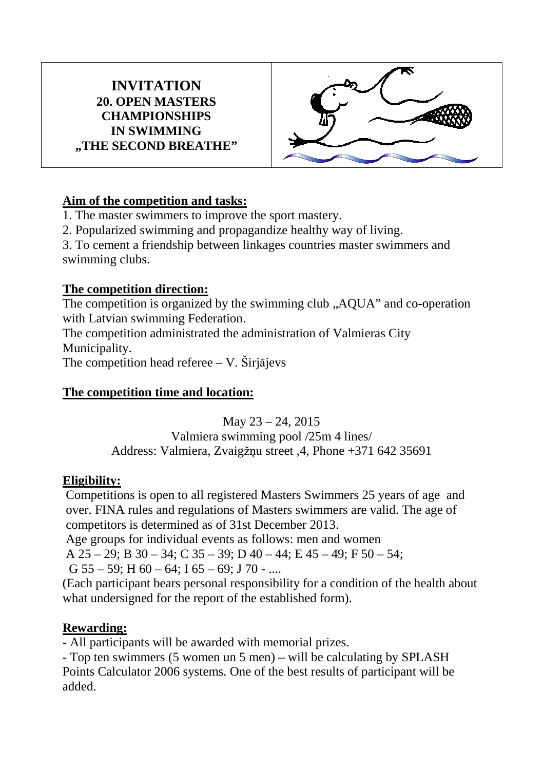#### **INVITATION 20. OPEN MASTERS CHAMPIONSHIPS IN SWIMMING "THE SECOND BREATHE"**



### **Aim of the competition and tasks:**

1. The master swimmers to improve the sport mastery.

2. Popularized swimming and propagandize healthy way of living.

3. To cement a friendship between linkages countries master swimmers and swimming clubs.

#### **The competition direction:**

The competition is organized by the swimming club ,,AQUA" and co-operation with Latvian swimming Federation. The competition administrated the administration of Valmieras City Municipality. The competition head referee  $- V$ . Širjājevs

## **The competition time and location:**

May  $23 - 24$ , 2015 Valmiera swimming pool /25m 4 lines/ Address: Valmiera, Zvaigžņu street ,4, Phone +371 642 35691

### **Eligibility:**

Competitions is open to all registered Masters Swimmers 25 years of age and over. FINA rules and regulations of Masters swimmers are valid. The age of competitors is determined as of 31st December 2013.

Age groups for individual events as follows: men and women

A 25 – 29; B 30 – 34; C 35 – 39; D 40 – 44; E 45 – 49; F 50 – 54;

G  $55 - 59$ ; H  $60 - 64$ ; I  $65 - 69$ ; J  $70$  - ....

(Each participant bears personal responsibility for a condition of the health about what undersigned for the report of the established form).

### **Rewarding:**

- All participants will be awarded with memorial prizes.

- Top ten swimmers (5 women un 5 men) – will be calculating by SPLASH Points Calculator 2006 systems. One of the best results of participant will be added.